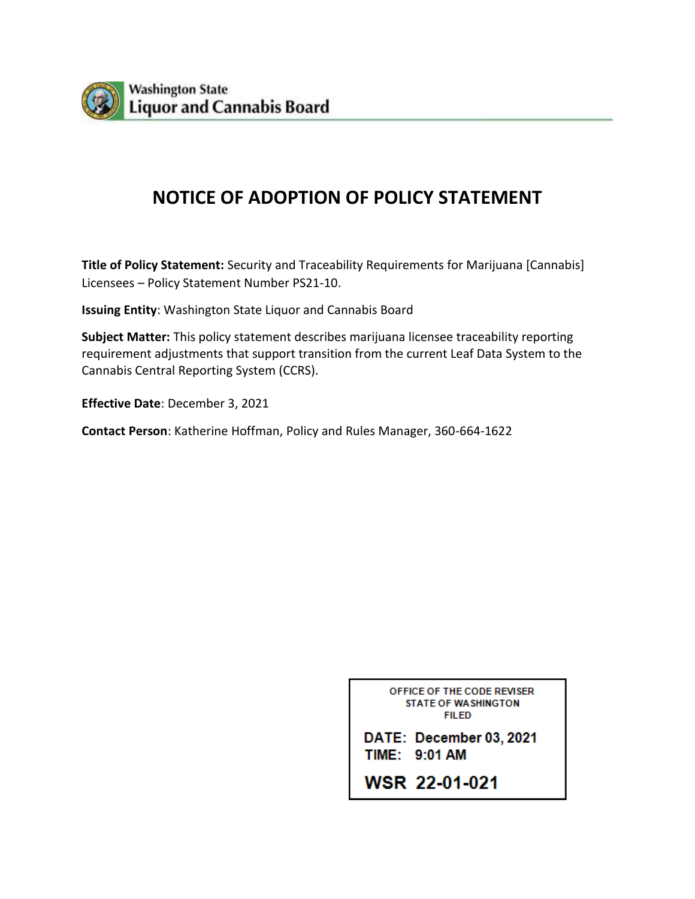

# **NOTICE OF ADOPTION OF POLICY STATEMENT**

**Title of Policy Statement:** Security and Traceability Requirements for Marijuana [Cannabis] Licensees – Policy Statement Number PS21-10.

**Issuing Entity**: Washington State Liquor and Cannabis Board

**Subject Matter:** This policy statement describes marijuana licensee traceability reporting requirement adjustments that support transition from the current Leaf Data System to the Cannabis Central Reporting System (CCRS).

**Effective Date**: December 3, 2021

**Contact Person**: Katherine Hoffman, Policy and Rules Manager, 360-664-1622

OFFICE OF THE CODE REVISER **STATE OF WASHINGTON FILED** 

DATE: December 03, 2021 TIME: 9:01 AM

WSR 22-01-021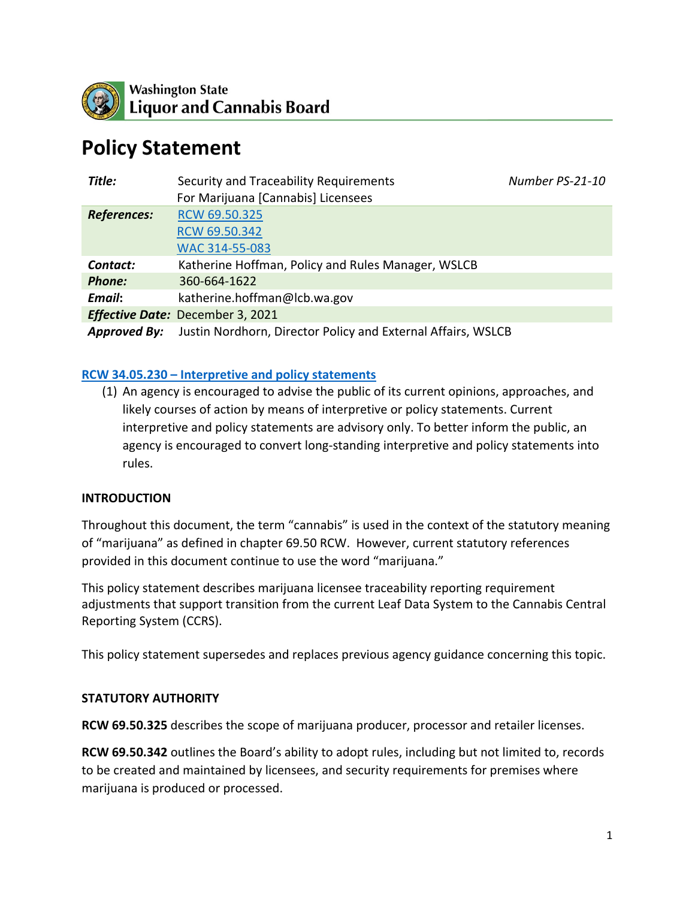

# **Policy Statement**

| Title:                           | Security and Traceability Requirements                       | Number PS-21-10 |
|----------------------------------|--------------------------------------------------------------|-----------------|
|                                  | For Marijuana [Cannabis] Licensees                           |                 |
| <b>References:</b>               | RCW 69.50.325                                                |                 |
|                                  | RCW 69.50.342                                                |                 |
|                                  | WAC 314-55-083                                               |                 |
| Contact:                         | Katherine Hoffman, Policy and Rules Manager, WSLCB           |                 |
| <b>Phone:</b>                    | 360-664-1622                                                 |                 |
| Email:                           | katherine.hoffman@lcb.wa.gov                                 |                 |
| Effective Date: December 3, 2021 |                                                              |                 |
| <b>Approved By:</b>              | Justin Nordhorn, Director Policy and External Affairs, WSLCB |                 |

### **RCW 34.05.230 – [Interpretive and policy statements](https://app.leg.wa.gov/rcw/default.aspx?cite=34.05.230)**

(1) An agency is encouraged to advise the public of its current opinions, approaches, and likely courses of action by means of interpretive or policy statements. Current interpretive and policy statements are advisory only. To better inform the public, an agency is encouraged to convert long-standing interpretive and policy statements into rules.

#### **INTRODUCTION**

Throughout this document, the term "cannabis" is used in the context of the statutory meaning of "marijuana" as defined in chapter 69.50 RCW. However, current statutory references provided in this document continue to use the word "marijuana."

This policy statement describes marijuana licensee traceability reporting requirement adjustments that support transition from the current Leaf Data System to the Cannabis Central Reporting System (CCRS).

This policy statement supersedes and replaces previous agency guidance concerning this topic.

#### **STATUTORY AUTHORITY**

**RCW 69.50.325** describes the scope of marijuana producer, processor and retailer licenses.

**RCW 69.50.342** outlines the Board's ability to adopt rules, including but not limited to, records to be created and maintained by licensees, and security requirements for premises where marijuana is produced or processed.